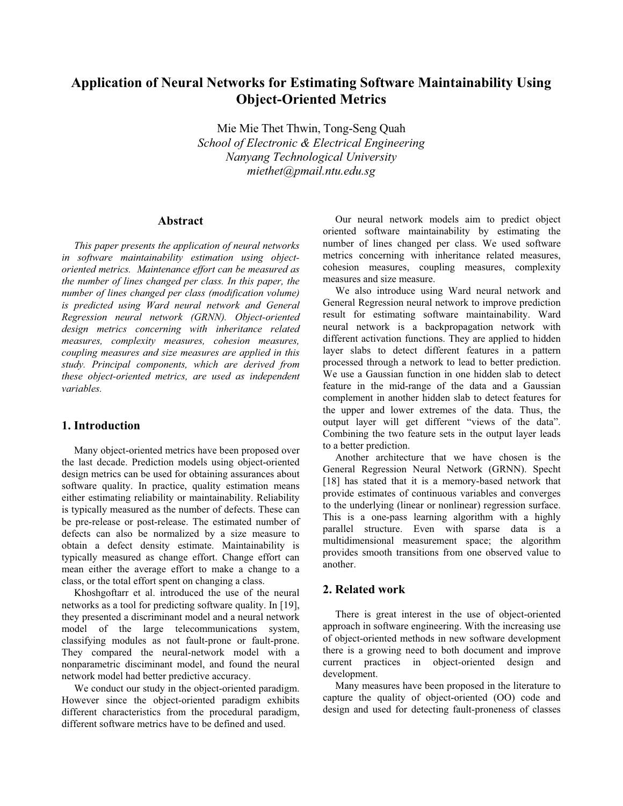# **Application of Neural Networks for Estimating Software Maintainability Using Object-Oriented Metrics**

Mie Mie Thet Thwin, Tong-Seng Quah *School of Electronic & Electrical Engineering Nanyang Technological University miethet@pmail.ntu.edu.sg*

# **Abstract**

*This paper presents the application of neural networks in software maintainability estimation using objectoriented metrics. Maintenance effort can be measured as the number of lines changed per class. In this paper, the number of lines changed per class (modification volume) is predicted using Ward neural network and General Regression neural network (GRNN). Object-oriented design metrics concerning with inheritance related measures, complexity measures, cohesion measures, coupling measures and size measures are applied in this study. Principal components, which are derived from these object-oriented metrics, are used as independent variables.*

# **1. Introduction**

Many object-oriented metrics have been proposed over the last decade. Prediction models using object-oriented design metrics can be used for obtaining assurances about software quality. In practice, quality estimation means either estimating reliability or maintainability. Reliability is typically measured as the number of defects. These can be pre-release or post-release. The estimated number of defects can also be normalized by a size measure to obtain a defect density estimate. Maintainability is typically measured as change effort. Change effort can mean either the average effort to make a change to a class, or the total effort spent on changing a class.

Khoshgoftarr et al. introduced the use of the neural networks as a tool for predicting software quality. In [19], they presented a discriminant model and a neural network model of the large telecommunications system, classifying modules as not fault-prone or fault-prone. They compared the neural-network model with a nonparametric disciminant model, and found the neural network model had better predictive accuracy.

We conduct our study in the object-oriented paradigm. However since the object-oriented paradigm exhibits different characteristics from the procedural paradigm, different software metrics have to be defined and used.

Our neural network models aim to predict object oriented software maintainability by estimating the number of lines changed per class. We used software metrics concerning with inheritance related measures, cohesion measures, coupling measures, complexity measures and size measure.

We also introduce using Ward neural network and General Regression neural network to improve prediction result for estimating software maintainability. Ward neural network is a backpropagation network with different activation functions. They are applied to hidden layer slabs to detect different features in a pattern processed through a network to lead to better prediction. We use a Gaussian function in one hidden slab to detect feature in the mid-range of the data and a Gaussian complement in another hidden slab to detect features for the upper and lower extremes of the data. Thus, the output layer will get different "views of the data". Combining the two feature sets in the output layer leads to a better prediction.

Another architecture that we have chosen is the General Regression Neural Network (GRNN). Specht [18] has stated that it is a memory-based network that provide estimates of continuous variables and converges to the underlying (linear or nonlinear) regression surface. This is a one-pass learning algorithm with a highly parallel structure. Even with sparse data is a multidimensional measurement space; the algorithm provides smooth transitions from one observed value to another.

# **2. Related work**

There is great interest in the use of object-oriented approach in software engineering. With the increasing use of object-oriented methods in new software development there is a growing need to both document and improve current practices in object-oriented design and development.

Many measures have been proposed in the literature to capture the quality of object-oriented (OO) code and design and used for detecting fault-proneness of classes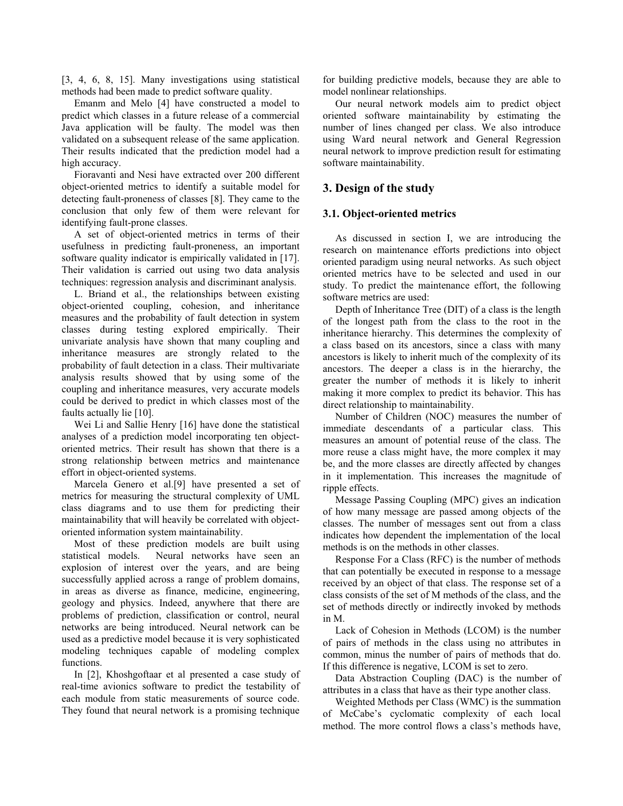[3, 4, 6, 8, 15]. Many investigations using statistical methods had been made to predict software quality.

Emanm and Melo [4] have constructed a model to predict which classes in a future release of a commercial Java application will be faulty. The model was then validated on a subsequent release of the same application. Their results indicated that the prediction model had a high accuracy.

Fioravanti and Nesi have extracted over 200 different object-oriented metrics to identify a suitable model for detecting fault-proneness of classes [8]. They came to the conclusion that only few of them were relevant for identifying fault-prone classes.

A set of object-oriented metrics in terms of their usefulness in predicting fault-proneness, an important software quality indicator is empirically validated in [17]. Their validation is carried out using two data analysis techniques: regression analysis and discriminant analysis.

L. Briand et al., the relationships between existing object-oriented coupling, cohesion, and inheritance measures and the probability of fault detection in system classes during testing explored empirically. Their univariate analysis have shown that many coupling and inheritance measures are strongly related to the probability of fault detection in a class. Their multivariate analysis results showed that by using some of the coupling and inheritance measures, very accurate models could be derived to predict in which classes most of the faults actually lie [10].

Wei Li and Sallie Henry [16] have done the statistical analyses of a prediction model incorporating ten objectoriented metrics. Their result has shown that there is a strong relationship between metrics and maintenance effort in object-oriented systems.

Marcela Genero et al.[9] have presented a set of metrics for measuring the structural complexity of UML class diagrams and to use them for predicting their maintainability that will heavily be correlated with objectoriented information system maintainability.

Most of these prediction models are built using statistical models. Neural networks have seen an explosion of interest over the years, and are being successfully applied across a range of problem domains, in areas as diverse as finance, medicine, engineering, geology and physics. Indeed, anywhere that there are problems of prediction, classification or control, neural networks are being introduced. Neural network can be used as a predictive model because it is very sophisticated modeling techniques capable of modeling complex functions.

In [2], Khoshgoftaar et al presented a case study of real-time avionics software to predict the testability of each module from static measurements of source code. They found that neural network is a promising technique

for building predictive models, because they are able to model nonlinear relationships.

Our neural network models aim to predict object oriented software maintainability by estimating the number of lines changed per class. We also introduce using Ward neural network and General Regression neural network to improve prediction result for estimating software maintainability.

#### **3. Design of the study**

#### **3.1. Object-oriented metrics**

As discussed in section I, we are introducing the research on maintenance efforts predictions into object oriented paradigm using neural networks. As such object oriented metrics have to be selected and used in our study. To predict the maintenance effort, the following software metrics are used:

Depth of Inheritance Tree (DIT) of a class is the length of the longest path from the class to the root in the inheritance hierarchy. This determines the complexity of a class based on its ancestors, since a class with many ancestors is likely to inherit much of the complexity of its ancestors. The deeper a class is in the hierarchy, the greater the number of methods it is likely to inherit making it more complex to predict its behavior. This has direct relationship to maintainability.

Number of Children (NOC) measures the number of immediate descendants of a particular class. This measures an amount of potential reuse of the class. The more reuse a class might have, the more complex it may be, and the more classes are directly affected by changes in it implementation. This increases the magnitude of ripple effects.

Message Passing Coupling (MPC) gives an indication of how many message are passed among objects of the classes. The number of messages sent out from a class indicates how dependent the implementation of the local methods is on the methods in other classes.

Response For a Class (RFC) is the number of methods that can potentially be executed in response to a message received by an object of that class. The response set of a class consists of the set of M methods of the class, and the set of methods directly or indirectly invoked by methods in M.

Lack of Cohesion in Methods (LCOM) is the number of pairs of methods in the class using no attributes in common, minus the number of pairs of methods that do. If this difference is negative, LCOM is set to zero.

Data Abstraction Coupling (DAC) is the number of attributes in a class that have as their type another class.

Weighted Methods per Class (WMC) is the summation of McCabe's cyclomatic complexity of each local method. The more control flows a class's methods have,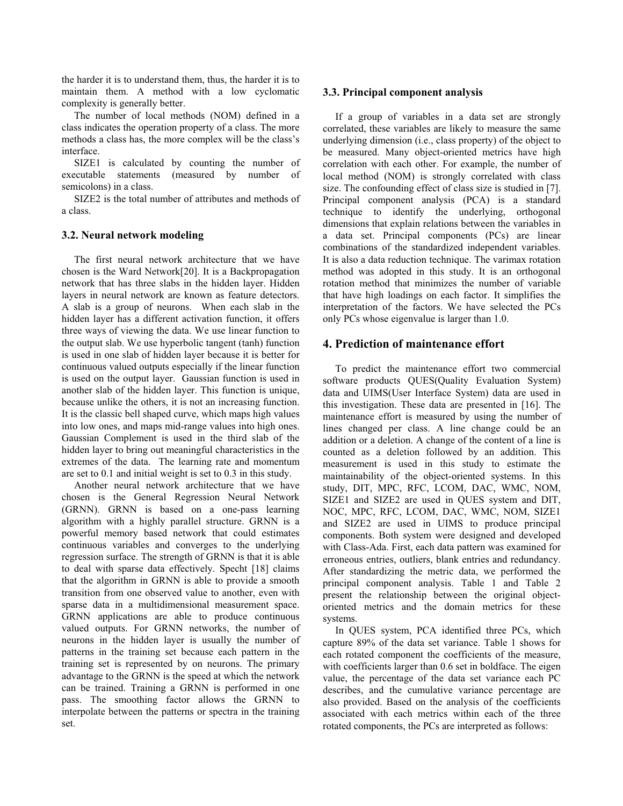the harder it is to understand them, thus, the harder it is to maintain them. A method with a low cyclomatic complexity is generally better.

The number of local methods (NOM) defined in a class indicates the operation property of a class. The more methods a class has, the more complex will be the class's interface.

SIZE1 is calculated by counting the number of executable statements (measured by number of semicolons) in a class.

SIZE2 is the total number of attributes and methods of a class.

#### **3.2. Neural network modeling**

The first neural network architecture that we have chosen is the Ward Network[20]. It is a Backpropagation network that has three slabs in the hidden layer. Hidden layers in neural network are known as feature detectors. A slab is a group of neurons. When each slab in the hidden layer has a different activation function, it offers three ways of viewing the data. We use linear function to the output slab. We use hyperbolic tangent (tanh) function is used in one slab of hidden layer because it is better for continuous valued outputs especially if the linear function is used on the output layer. Gaussian function is used in another slab of the hidden layer. This function is unique, because unlike the others, it is not an increasing function. It is the classic bell shaped curve, which maps high values into low ones, and maps mid-range values into high ones. Gaussian Complement is used in the third slab of the hidden layer to bring out meaningful characteristics in the extremes of the data. The learning rate and momentum are set to 0.1 and initial weight is set to 0.3 in this study.

Another neural network architecture that we have chosen is the General Regression Neural Network (GRNN). GRNN is based on a one-pass learning algorithm with a highly parallel structure. GRNN is a powerful memory based network that could estimates continuous variables and converges to the underlying regression surface. The strength of GRNN is that it is able to deal with sparse data effectively. Specht [18] claims that the algorithm in GRNN is able to provide a smooth transition from one observed value to another, even with sparse data in a multidimensional measurement space. GRNN applications are able to produce continuous valued outputs. For GRNN networks, the number of neurons in the hidden layer is usually the number of patterns in the training set because each pattern in the training set is represented by on neurons. The primary advantage to the GRNN is the speed at which the network can be trained. Training a GRNN is performed in one pass. The smoothing factor allows the GRNN to interpolate between the patterns or spectra in the training set.

#### **3.3. Principal component analysis**

If a group of variables in a data set are strongly correlated, these variables are likely to measure the same underlying dimension (i.e., class property) of the object to be measured. Many object-oriented metrics have high correlation with each other. For example, the number of local method (NOM) is strongly correlated with class size. The confounding effect of class size is studied in [7]. Principal component analysis (PCA) is a standard technique to identify the underlying, orthogonal dimensions that explain relations between the variables in a data set. Principal components (PCs) are linear combinations of the standardized independent variables. It is also a data reduction technique. The varimax rotation method was adopted in this study. It is an orthogonal rotation method that minimizes the number of variable that have high loadings on each factor. It simplifies the interpretation of the factors. We have selected the PCs only PCs whose eigenvalue is larger than 1.0.

# **4. Prediction of maintenance effort**

To predict the maintenance effort two commercial software products QUES(Quality Evaluation System) data and UIMS(User Interface System) data are used in this investigation. These data are presented in [16]. The maintenance effort is measured by using the number of lines changed per class. A line change could be an addition or a deletion. A change of the content of a line is counted as a deletion followed by an addition. This measurement is used in this study to estimate the maintainability of the object-oriented systems. In this study, DIT, MPC, RFC, LCOM, DAC, WMC, NOM, SIZE1 and SIZE2 are used in QUES system and DIT, NOC, MPC, RFC, LCOM, DAC, WMC, NOM, SIZE1 and SIZE2 are used in UIMS to produce principal components. Both system were designed and developed with Class-Ada. First, each data pattern was examined for erroneous entries, outliers, blank entries and redundancy. After standardizing the metric data, we performed the principal component analysis. Table 1 and Table 2 present the relationship between the original objectoriented metrics and the domain metrics for these systems.

In QUES system, PCA identified three PCs, which capture 89% of the data set variance. Table 1 shows for each rotated component the coefficients of the measure, with coefficients larger than 0.6 set in boldface. The eigen value, the percentage of the data set variance each PC describes, and the cumulative variance percentage are also provided. Based on the analysis of the coefficients associated with each metrics within each of the three rotated components, the PCs are interpreted as follows: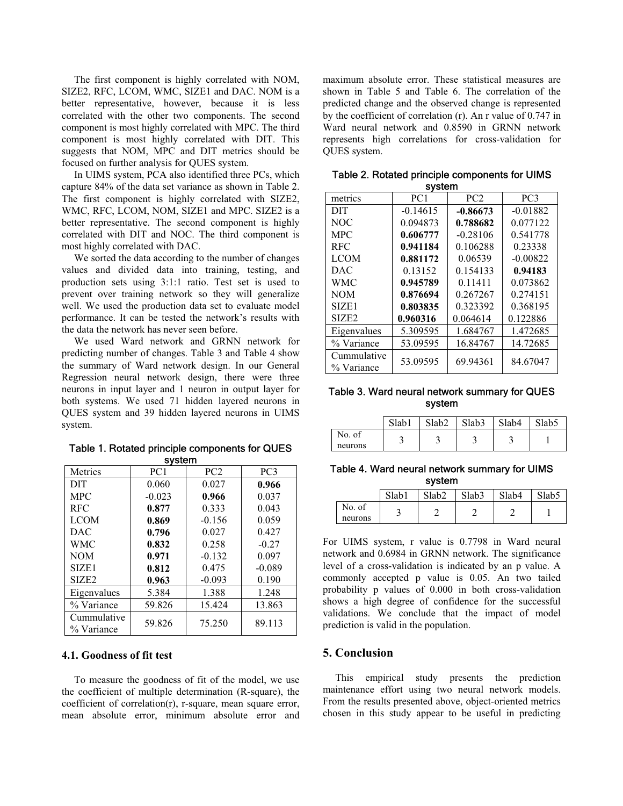The first component is highly correlated with NOM, SIZE2, RFC, LCOM, WMC, SIZE1 and DAC. NOM is a better representative, however, because it is less correlated with the other two components. The second component is most highly correlated with MPC. The third component is most highly correlated with DIT. This suggests that NOM, MPC and DIT metrics should be focused on further analysis for QUES system.

In UIMS system, PCA also identified three PCs, which capture 84% of the data set variance as shown in Table 2. The first component is highly correlated with SIZE2, WMC, RFC, LCOM, NOM, SIZE1 and MPC. SIZE2 is a better representative. The second component is highly correlated with DIT and NOC. The third component is most highly correlated with DAC.

We sorted the data according to the number of changes values and divided data into training, testing, and production sets using 3:1:1 ratio. Test set is used to prevent over training network so they will generalize well. We used the production data set to evaluate model performance. It can be tested the network's results with the data the network has never seen before.

We used Ward network and GRNN network for predicting number of changes. Table 3 and Table 4 show the summary of Ward network design. In our General Regression neural network design, there were three neurons in input layer and 1 neuron in output layer for both systems. We used 71 hidden layered neurons in QUES system and 39 hidden layered neurons in UIMS system.

| Metrics                   | PC <sub>1</sub> | PC2      | PC <sub>3</sub> |  |  |  |
|---------------------------|-----------------|----------|-----------------|--|--|--|
| <b>DIT</b>                | 0.060           | 0.027    | 0.966           |  |  |  |
| <b>MPC</b>                | $-0.023$        | 0.966    | 0.037           |  |  |  |
| <b>RFC</b>                | 0.877           | 0.333    | 0.043           |  |  |  |
| <b>LCOM</b>               | 0.869           | $-0.156$ | 0.059           |  |  |  |
| <b>DAC</b>                | 0.796           | 0.027    | 0.427           |  |  |  |
| <b>WMC</b>                | 0.832           | 0.258    | $-0.27$         |  |  |  |
| <b>NOM</b>                | 0.971           | $-0.132$ | 0.097           |  |  |  |
| SIZE1                     | 0.812           | 0.475    | $-0.089$        |  |  |  |
| SIZE <sub>2</sub>         | 0.963           | $-0.093$ | 0.190           |  |  |  |
| Eigenvalues               | 5.384           | 1.388    | 1.248           |  |  |  |
| % Variance                | 59.826          | 15.424   | 13.863          |  |  |  |
| Cummulative<br>% Variance | 59.826          | 75.250   | 89.113          |  |  |  |

Table 1. Rotated principle components for QUES system

#### **4.1. Goodness of fit test**

To measure the goodness of fit of the model, we use the coefficient of multiple determination (R-square), the coefficient of correlation(r), r-square, mean square error, mean absolute error, minimum absolute error and

maximum absolute error. These statistical measures are shown in Table 5 and Table 6. The correlation of the predicted change and the observed change is represented by the coefficient of correlation (r). An r value of 0.747 in Ward neural network and 0.8590 in GRNN network represents high correlations for cross-validation for QUES system.

| system                    |                 |                 |                 |  |
|---------------------------|-----------------|-----------------|-----------------|--|
| metrics                   | PC <sub>1</sub> | PC <sub>2</sub> | PC <sub>3</sub> |  |
| <b>DIT</b>                | $-0.14615$      | $-0.86673$      | $-0.01882$      |  |
| NOC.                      | 0.094873        | 0.788682        | 0.077122        |  |
| <b>MPC</b>                | 0.606777        | $-0.28106$      | 0.541778        |  |
| <b>RFC</b>                | 0.941184        | 0.106288        | 0.23338         |  |
| <b>LCOM</b>               | 0.881172        | 0.06539         | $-0.00822$      |  |
| DAC                       | 0.13152         | 0.154133        | 0.94183         |  |
| WMC                       | 0.945789        | 0.11411         | 0.073862        |  |
| <b>NOM</b>                | 0.876694        | 0.267267        | 0.274151        |  |
| SIZE1                     | 0.803835        | 0.323392        | 0.368195        |  |
| SIZE <sub>2</sub>         | 0.960316        | 0.064614        | 0.122886        |  |
| Eigenvalues               | 5.309595        | 1.684767        | 1.472685        |  |
| % Variance                | 53.09595        | 16.84767        | 14.72685        |  |
| Cummulative<br>% Variance | 53.09595        | 69.94361        | 84.67047        |  |

Table 2. Rotated principle components for UIMS system

#### Table 3. Ward neural network summary for QUES system

|         | Slab1 | Slab <sub>2</sub> | Slab <sub>3</sub> | Slab4  | Slab5 |
|---------|-------|-------------------|-------------------|--------|-------|
| No. of  |       |                   |                   |        |       |
| neurons | ت     | ت                 | محا               | $\sim$ |       |

Table 4. Ward neural network summary for UIMS system

|                   | Slab1 | Slab <sub>2</sub> | Slab <sub>3</sub> | Slab4 | Slab <sub>5</sub> |
|-------------------|-------|-------------------|-------------------|-------|-------------------|
| No. of<br>neurons |       |                   |                   |       |                   |

For UIMS system, r value is 0.7798 in Ward neural network and 0.6984 in GRNN network. The significance level of a cross-validation is indicated by an p value. A commonly accepted p value is 0.05. An two tailed probability p values of 0.000 in both cross-validation shows a high degree of confidence for the successful validations. We conclude that the impact of model prediction is valid in the population.

# **5. Conclusion**

This empirical study presents the prediction maintenance effort using two neural network models. From the results presented above, object-oriented metrics chosen in this study appear to be useful in predicting